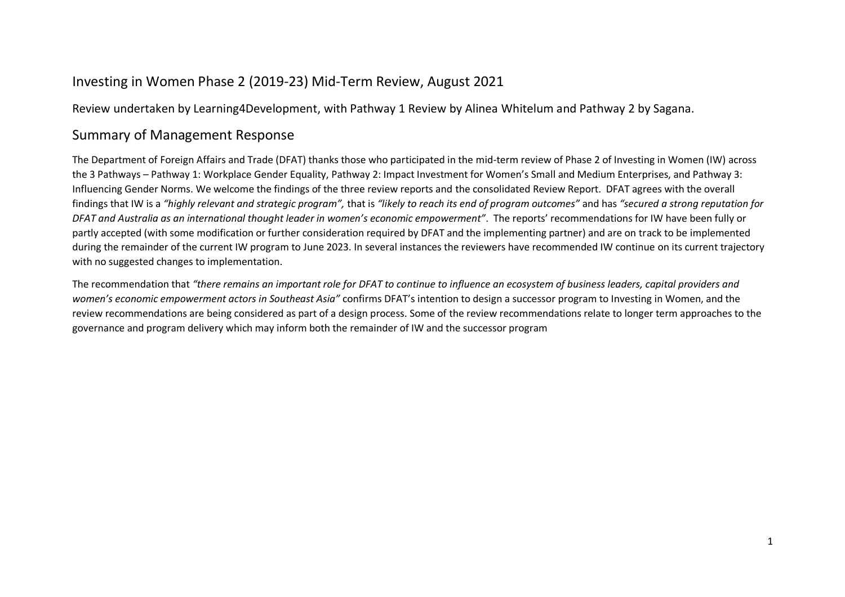#### Investing in Women Phase 2 (2019-23) Mid-Term Review, August 2021

Review undertaken by Learning4Development, with Pathway 1 Review by Alinea Whitelum and Pathway 2 by Sagana.

#### Summary of Management Response

The Department of Foreign Affairs and Trade (DFAT) thanks those who participated in the mid-term review of Phase 2 of Investing in Women (IW) across the 3 Pathways – Pathway 1: Workplace Gender Equality, Pathway 2: Impact Investment for Women's Small and Medium Enterprises, and Pathway 3: Influencing Gender Norms. We welcome the findings of the three review reports and the consolidated Review Report. DFAT agrees with the overall findings that IW is a *"highly relevant and strategic program",* that is *"likely to reach its end of program outcomes"* and has *"secured a strong reputation for DFAT and Australia as an international thought leader in women's economic empowerment"*. The reports' recommendations for IW have been fully or partly accepted (with some modification or further consideration required by DFAT and the implementing partner) and are on track to be implemented during the remainder of the current IW program to June 2023. In several instances the reviewers have recommended IW continue on its current trajectory with no suggested changes to implementation.

The recommendation that *"there remains an important role for DFAT to continue to influence an ecosystem of business leaders, capital providers and women's economic empowerment actors in Southeast Asia"* confirms DFAT's intention to design a successor program to Investing in Women, and the review recommendations are being considered as part of a design process. Some of the review recommendations relate to longer term approaches to the governance and program delivery which may inform both the remainder of IW and the successor program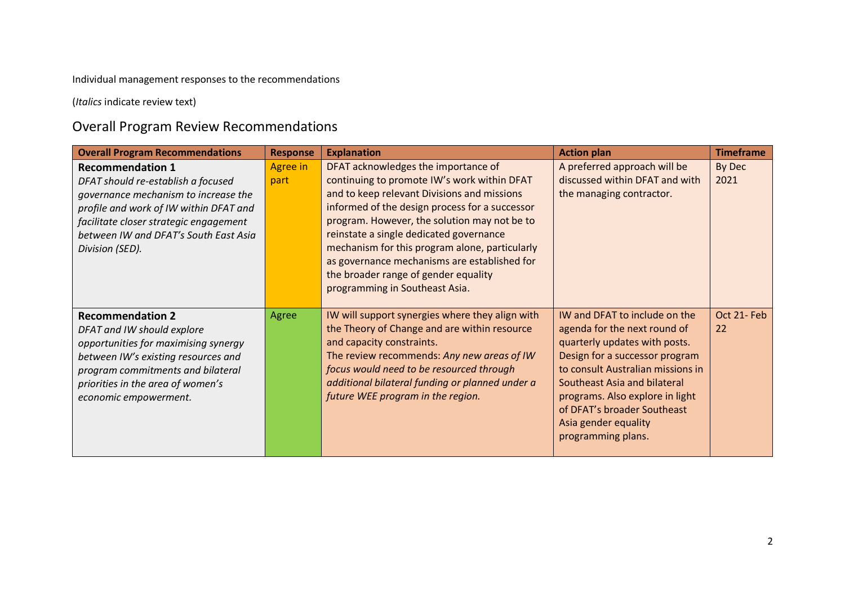Individual management responses to the recommendations

(*Italics* indicate review text)

### Overall Program Review Recommendations

| <b>Overall Program Recommendations</b>                                                                                                                                                                                                                | <b>Response</b>         | <b>Explanation</b>                                                                                                                                                                                                                                                                                                                                                                                                                                         | <b>Action plan</b>                                                                                                                                                                                                                                                                                                           | <b>Timeframe</b> |
|-------------------------------------------------------------------------------------------------------------------------------------------------------------------------------------------------------------------------------------------------------|-------------------------|------------------------------------------------------------------------------------------------------------------------------------------------------------------------------------------------------------------------------------------------------------------------------------------------------------------------------------------------------------------------------------------------------------------------------------------------------------|------------------------------------------------------------------------------------------------------------------------------------------------------------------------------------------------------------------------------------------------------------------------------------------------------------------------------|------------------|
| <b>Recommendation 1</b><br>DFAT should re-establish a focused<br>governance mechanism to increase the<br>profile and work of IW within DFAT and<br>facilitate closer strategic engagement<br>between IW and DFAT's South East Asia<br>Division (SED). | <b>Agree in</b><br>part | DFAT acknowledges the importance of<br>continuing to promote IW's work within DFAT<br>and to keep relevant Divisions and missions<br>informed of the design process for a successor<br>program. However, the solution may not be to<br>reinstate a single dedicated governance<br>mechanism for this program alone, particularly<br>as governance mechanisms are established for<br>the broader range of gender equality<br>programming in Southeast Asia. | A preferred approach will be<br>discussed within DFAT and with<br>the managing contractor.                                                                                                                                                                                                                                   | By Dec<br>2021   |
| <b>Recommendation 2</b><br>DFAT and IW should explore<br>opportunities for maximising synergy<br>between IW's existing resources and<br>program commitments and bilateral<br>priorities in the area of women's<br>economic empowerment.               | Agree                   | IW will support synergies where they align with<br>the Theory of Change and are within resource<br>and capacity constraints.<br>The review recommends: Any new areas of IW<br>focus would need to be resourced through<br>additional bilateral funding or planned under a<br>future WEE program in the region.                                                                                                                                             | IW and DFAT to include on the<br>agenda for the next round of<br>quarterly updates with posts.<br>Design for a successor program<br>to consult Australian missions in<br><b>Southeast Asia and bilateral</b><br>programs. Also explore in light<br>of DFAT's broader Southeast<br>Asia gender equality<br>programming plans. | Oct 21-Feb<br>22 |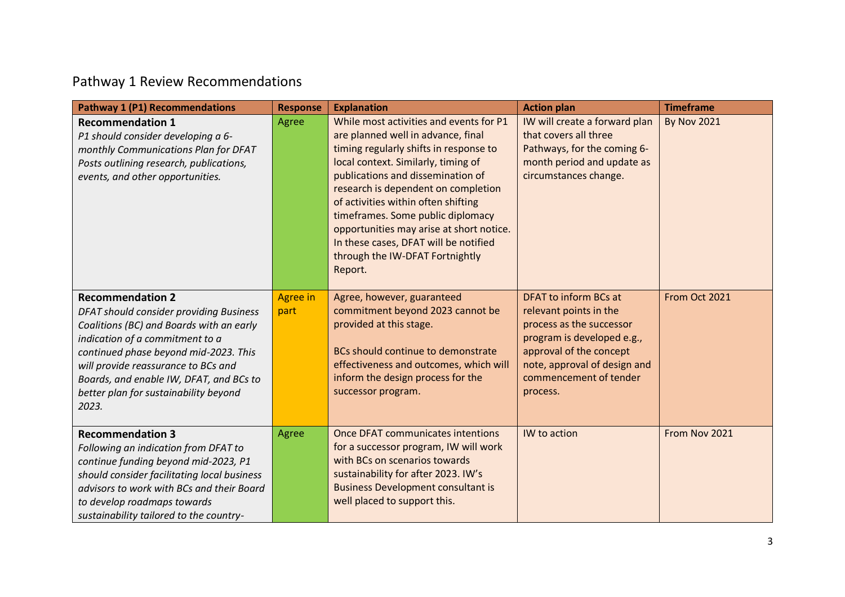## Pathway 1 Review Recommendations

| <b>Pathway 1 (P1) Recommendations</b>                                                                                                                                                                                                                                                                                          | <b>Response</b>         | <b>Explanation</b>                                                                                                                                                                                                                                                                                                                                                                                                                                        | <b>Action plan</b>                                                                                                                                                                                         | <b>Timeframe</b>   |
|--------------------------------------------------------------------------------------------------------------------------------------------------------------------------------------------------------------------------------------------------------------------------------------------------------------------------------|-------------------------|-----------------------------------------------------------------------------------------------------------------------------------------------------------------------------------------------------------------------------------------------------------------------------------------------------------------------------------------------------------------------------------------------------------------------------------------------------------|------------------------------------------------------------------------------------------------------------------------------------------------------------------------------------------------------------|--------------------|
| <b>Recommendation 1</b><br>P1 should consider developing a 6-<br>monthly Communications Plan for DFAT<br>Posts outlining research, publications,<br>events, and other opportunities.                                                                                                                                           | Agree                   | While most activities and events for P1<br>are planned well in advance, final<br>timing regularly shifts in response to<br>local context. Similarly, timing of<br>publications and dissemination of<br>research is dependent on completion<br>of activities within often shifting<br>timeframes. Some public diplomacy<br>opportunities may arise at short notice.<br>In these cases, DFAT will be notified<br>through the IW-DFAT Fortnightly<br>Report. | IW will create a forward plan<br>that covers all three<br>Pathways, for the coming 6-<br>month period and update as<br>circumstances change.                                                               | <b>By Nov 2021</b> |
| <b>Recommendation 2</b><br>DFAT should consider providing Business<br>Coalitions (BC) and Boards with an early<br>indication of a commitment to a<br>continued phase beyond mid-2023. This<br>will provide reassurance to BCs and<br>Boards, and enable IW, DFAT, and BCs to<br>better plan for sustainability beyond<br>2023. | <b>Agree in</b><br>part | Agree, however, guaranteed<br>commitment beyond 2023 cannot be<br>provided at this stage.<br>BCs should continue to demonstrate<br>effectiveness and outcomes, which will<br>inform the design process for the<br>successor program.                                                                                                                                                                                                                      | DFAT to inform BCs at<br>relevant points in the<br>process as the successor<br>program is developed e.g.,<br>approval of the concept<br>note, approval of design and<br>commencement of tender<br>process. | From Oct 2021      |
| <b>Recommendation 3</b><br>Following an indication from DFAT to<br>continue funding beyond mid-2023, P1<br>should consider facilitating local business<br>advisors to work with BCs and their Board<br>to develop roadmaps towards<br>sustainability tailored to the country-                                                  | Agree                   | Once DFAT communicates intentions<br>for a successor program, IW will work<br>with BCs on scenarios towards<br>sustainability for after 2023. IW's<br><b>Business Development consultant is</b><br>well placed to support this.                                                                                                                                                                                                                           | IW to action                                                                                                                                                                                               | From Nov 2021      |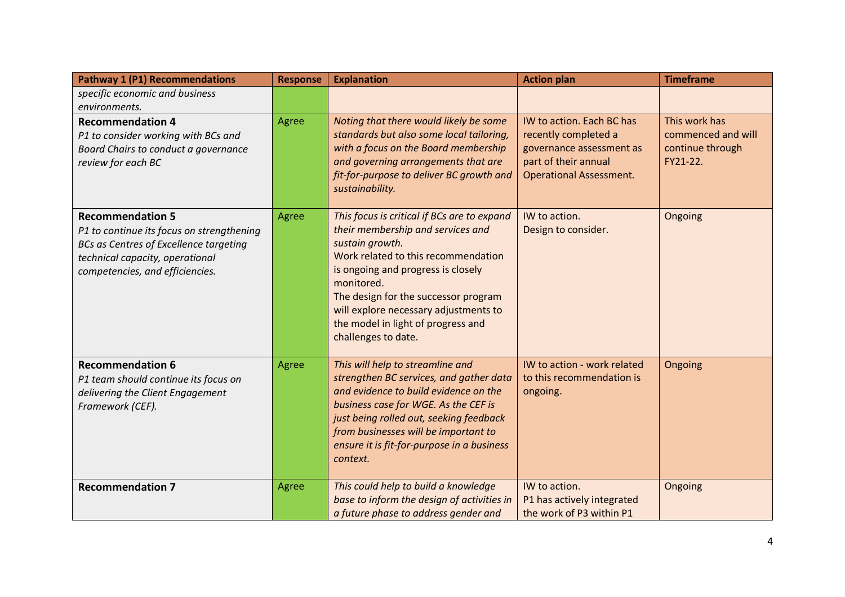| <b>Pathway 1 (P1) Recommendations</b>                                                                                                                                                       | <b>Response</b> | <b>Explanation</b>                                                                                                                                                                                                                                                                                                                           | <b>Action plan</b>                                                                                                                      | <b>Timeframe</b>                                                    |
|---------------------------------------------------------------------------------------------------------------------------------------------------------------------------------------------|-----------------|----------------------------------------------------------------------------------------------------------------------------------------------------------------------------------------------------------------------------------------------------------------------------------------------------------------------------------------------|-----------------------------------------------------------------------------------------------------------------------------------------|---------------------------------------------------------------------|
| specific economic and business<br>environments.                                                                                                                                             |                 |                                                                                                                                                                                                                                                                                                                                              |                                                                                                                                         |                                                                     |
| <b>Recommendation 4</b><br>P1 to consider working with BCs and<br>Board Chairs to conduct a governance<br>review for each BC                                                                | Agree           | Noting that there would likely be some<br>standards but also some local tailoring,<br>with a focus on the Board membership<br>and governing arrangements that are<br>fit-for-purpose to deliver BC growth and<br>sustainability.                                                                                                             | IW to action. Each BC has<br>recently completed a<br>governance assessment as<br>part of their annual<br><b>Operational Assessment.</b> | This work has<br>commenced and will<br>continue through<br>FY21-22. |
| <b>Recommendation 5</b><br>P1 to continue its focus on strengthening<br><b>BCs as Centres of Excellence targeting</b><br>technical capacity, operational<br>competencies, and efficiencies. | <b>Agree</b>    | This focus is critical if BCs are to expand<br>their membership and services and<br>sustain growth.<br>Work related to this recommendation<br>is ongoing and progress is closely<br>monitored.<br>The design for the successor program<br>will explore necessary adjustments to<br>the model in light of progress and<br>challenges to date. | IW to action.<br>Design to consider.                                                                                                    | Ongoing                                                             |
| <b>Recommendation 6</b><br>P1 team should continue its focus on<br>delivering the Client Engagement<br>Framework (CEF).                                                                     | Agree           | This will help to streamline and<br>strengthen BC services, and gather data<br>and evidence to build evidence on the<br>business case for WGE. As the CEF is<br>just being rolled out, seeking feedback<br>from businesses will be important to<br>ensure it is fit-for-purpose in a business<br>context.                                    | IW to action - work related<br>to this recommendation is<br>ongoing.                                                                    | Ongoing                                                             |
| <b>Recommendation 7</b>                                                                                                                                                                     | Agree           | This could help to build a knowledge<br>base to inform the design of activities in<br>a future phase to address gender and                                                                                                                                                                                                                   | IW to action.<br>P1 has actively integrated<br>the work of P3 within P1                                                                 | Ongoing                                                             |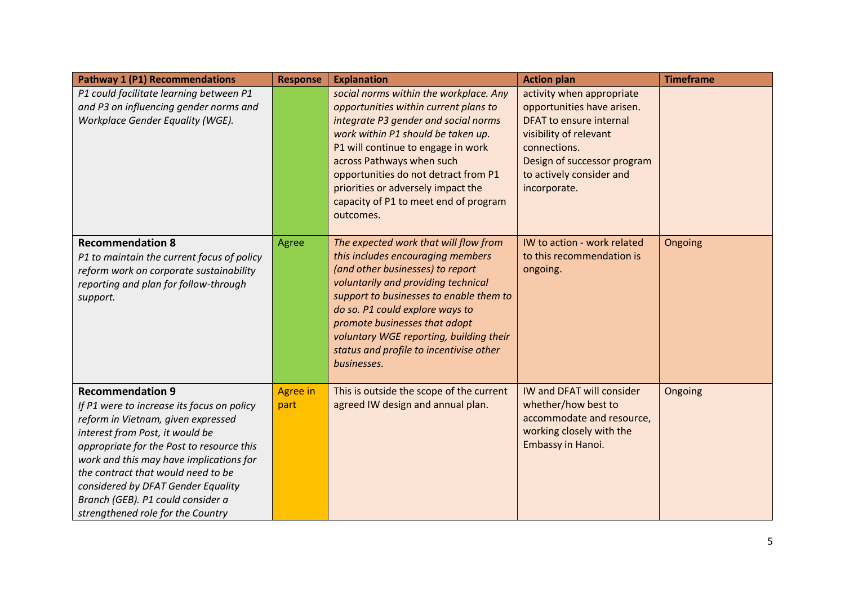| <b>Pathway 1 (P1) Recommendations</b>                                                                                                                                                                                                                                                                                                                                                        | <b>Response</b>  | <b>Explanation</b>                                                                                                                                                                                                                                                                                                                                                        | <b>Action plan</b>                                                                                                                                                                                             | <b>Timeframe</b> |
|----------------------------------------------------------------------------------------------------------------------------------------------------------------------------------------------------------------------------------------------------------------------------------------------------------------------------------------------------------------------------------------------|------------------|---------------------------------------------------------------------------------------------------------------------------------------------------------------------------------------------------------------------------------------------------------------------------------------------------------------------------------------------------------------------------|----------------------------------------------------------------------------------------------------------------------------------------------------------------------------------------------------------------|------------------|
| P1 could facilitate learning between P1<br>and P3 on influencing gender norms and<br>Workplace Gender Equality (WGE).                                                                                                                                                                                                                                                                        |                  | social norms within the workplace. Any<br>opportunities within current plans to<br>integrate P3 gender and social norms<br>work within P1 should be taken up.<br>P1 will continue to engage in work<br>across Pathways when such<br>opportunities do not detract from P1<br>priorities or adversely impact the<br>capacity of P1 to meet end of program<br>outcomes.      | activity when appropriate<br>opportunities have arisen.<br><b>DFAT to ensure internal</b><br>visibility of relevant<br>connections.<br>Design of successor program<br>to actively consider and<br>incorporate. |                  |
| <b>Recommendation 8</b><br>P1 to maintain the current focus of policy<br>reform work on corporate sustainability<br>reporting and plan for follow-through<br>support.                                                                                                                                                                                                                        | Agree            | The expected work that will flow from<br>this includes encouraging members<br>(and other businesses) to report<br>voluntarily and providing technical<br>support to businesses to enable them to<br>do so. P1 could explore ways to<br>promote businesses that adopt<br>voluntary WGE reporting, building their<br>status and profile to incentivise other<br>businesses. | IW to action - work related<br>to this recommendation is<br>ongoing.                                                                                                                                           | Ongoing          |
| <b>Recommendation 9</b><br>If P1 were to increase its focus on policy<br>reform in Vietnam, given expressed<br>interest from Post, it would be<br>appropriate for the Post to resource this<br>work and this may have implications for<br>the contract that would need to be<br>considered by DFAT Gender Equality<br>Branch (GEB). P1 could consider a<br>strengthened role for the Country | Agree in<br>part | This is outside the scope of the current<br>agreed IW design and annual plan.                                                                                                                                                                                                                                                                                             | <b>IW and DFAT will consider</b><br>whether/how best to<br>accommodate and resource,<br>working closely with the<br>Embassy in Hanoi.                                                                          | Ongoing          |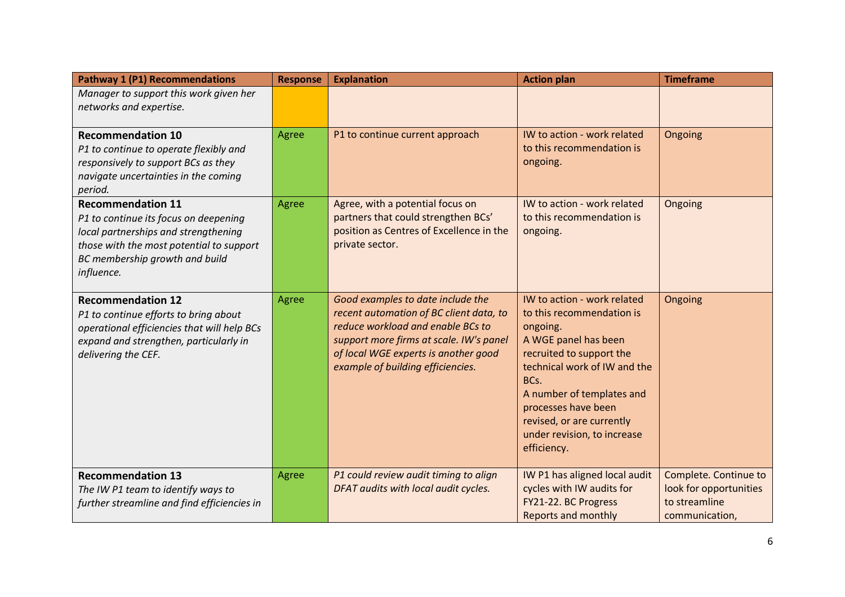| <b>Pathway 1 (P1) Recommendations</b>                                                                                                                                                                 | <b>Response</b> | <b>Explanation</b>                                                                                                                                                                                                                        | <b>Action plan</b>                                                                                                                                                                                                                                                                              | <b>Timeframe</b>                                                                   |
|-------------------------------------------------------------------------------------------------------------------------------------------------------------------------------------------------------|-----------------|-------------------------------------------------------------------------------------------------------------------------------------------------------------------------------------------------------------------------------------------|-------------------------------------------------------------------------------------------------------------------------------------------------------------------------------------------------------------------------------------------------------------------------------------------------|------------------------------------------------------------------------------------|
| Manager to support this work given her<br>networks and expertise.                                                                                                                                     |                 |                                                                                                                                                                                                                                           |                                                                                                                                                                                                                                                                                                 |                                                                                    |
| <b>Recommendation 10</b><br>P1 to continue to operate flexibly and<br>responsively to support BCs as they<br>navigate uncertainties in the coming<br>period.                                          | Agree           | P1 to continue current approach                                                                                                                                                                                                           | IW to action - work related<br>to this recommendation is<br>ongoing.                                                                                                                                                                                                                            | Ongoing                                                                            |
| <b>Recommendation 11</b><br>P1 to continue its focus on deepening<br>local partnerships and strengthening<br>those with the most potential to support<br>BC membership growth and build<br>influence. | Agree           | Agree, with a potential focus on<br>partners that could strengthen BCs'<br>position as Centres of Excellence in the<br>private sector.                                                                                                    | IW to action - work related<br>to this recommendation is<br>ongoing.                                                                                                                                                                                                                            | Ongoing                                                                            |
| <b>Recommendation 12</b><br>P1 to continue efforts to bring about<br>operational efficiencies that will help BCs<br>expand and strengthen, particularly in<br>delivering the CEF.                     | Agree           | Good examples to date include the<br>recent automation of BC client data, to<br>reduce workload and enable BCs to<br>support more firms at scale. IW's panel<br>of local WGE experts is another good<br>example of building efficiencies. | IW to action - work related<br>to this recommendation is<br>ongoing.<br>A WGE panel has been<br>recruited to support the<br>technical work of IW and the<br>BCs.<br>A number of templates and<br>processes have been<br>revised, or are currently<br>under revision, to increase<br>efficiency. | Ongoing                                                                            |
| <b>Recommendation 13</b><br>The IW P1 team to identify ways to<br>further streamline and find efficiencies in                                                                                         | Agree           | P1 could review audit timing to align<br>DFAT audits with local audit cycles.                                                                                                                                                             | IW P1 has aligned local audit<br>cycles with IW audits for<br>FY21-22. BC Progress<br><b>Reports and monthly</b>                                                                                                                                                                                | Complete. Continue to<br>look for opportunities<br>to streamline<br>communication, |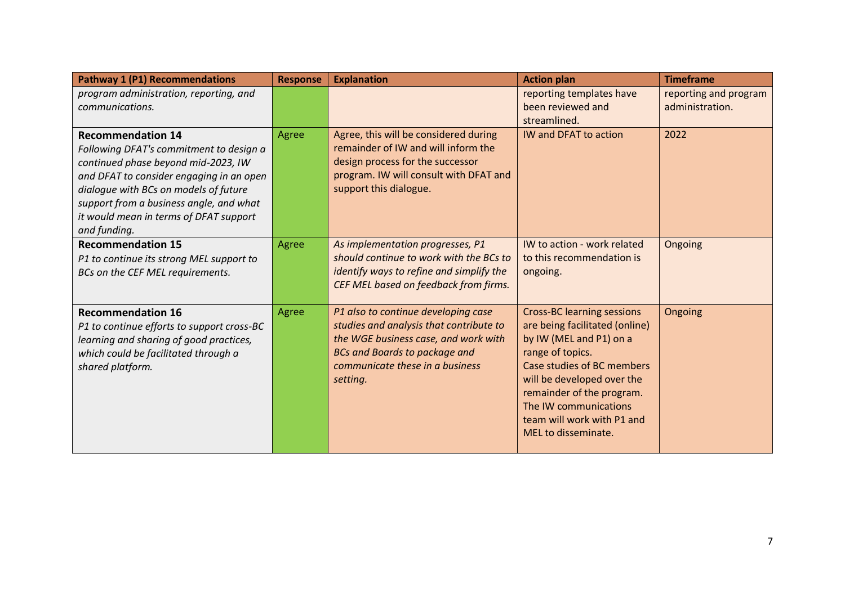| <b>Pathway 1 (P1) Recommendations</b>                                                                                                                                                                                                                                                                | <b>Response</b> | <b>Explanation</b>                                                                                                                                                                                            | <b>Action plan</b>                                                                                                                                                                                                                                                                        | <b>Timeframe</b>                         |
|------------------------------------------------------------------------------------------------------------------------------------------------------------------------------------------------------------------------------------------------------------------------------------------------------|-----------------|---------------------------------------------------------------------------------------------------------------------------------------------------------------------------------------------------------------|-------------------------------------------------------------------------------------------------------------------------------------------------------------------------------------------------------------------------------------------------------------------------------------------|------------------------------------------|
| program administration, reporting, and<br>communications.                                                                                                                                                                                                                                            |                 |                                                                                                                                                                                                               | reporting templates have<br>been reviewed and                                                                                                                                                                                                                                             | reporting and program<br>administration. |
|                                                                                                                                                                                                                                                                                                      |                 |                                                                                                                                                                                                               | streamlined.                                                                                                                                                                                                                                                                              |                                          |
| <b>Recommendation 14</b><br>Following DFAT's commitment to design a<br>continued phase beyond mid-2023, IW<br>and DFAT to consider engaging in an open<br>dialogue with BCs on models of future<br>support from a business angle, and what<br>it would mean in terms of DFAT support<br>and funding. | Agree           | Agree, this will be considered during<br>remainder of IW and will inform the<br>design process for the successor<br>program. IW will consult with DFAT and<br>support this dialogue.                          | <b>IW and DFAT to action</b>                                                                                                                                                                                                                                                              | 2022                                     |
| <b>Recommendation 15</b><br>P1 to continue its strong MEL support to<br>BCs on the CEF MEL requirements.                                                                                                                                                                                             | Agree           | As implementation progresses, P1<br>should continue to work with the BCs to<br>identify ways to refine and simplify the<br>CEF MEL based on feedback from firms.                                              | IW to action - work related<br>to this recommendation is<br>ongoing.                                                                                                                                                                                                                      | Ongoing                                  |
| <b>Recommendation 16</b><br>P1 to continue efforts to support cross-BC<br>learning and sharing of good practices,<br>which could be facilitated through a<br>shared platform.                                                                                                                        | Agree           | P1 also to continue developing case<br>studies and analysis that contribute to<br>the WGE business case, and work with<br><b>BCs and Boards to package and</b><br>communicate these in a business<br>setting. | <b>Cross-BC learning sessions</b><br>are being facilitated (online)<br>by IW (MEL and P1) on a<br>range of topics.<br>Case studies of BC members<br>will be developed over the<br>remainder of the program.<br>The IW communications<br>team will work with P1 and<br>MEL to disseminate. | Ongoing                                  |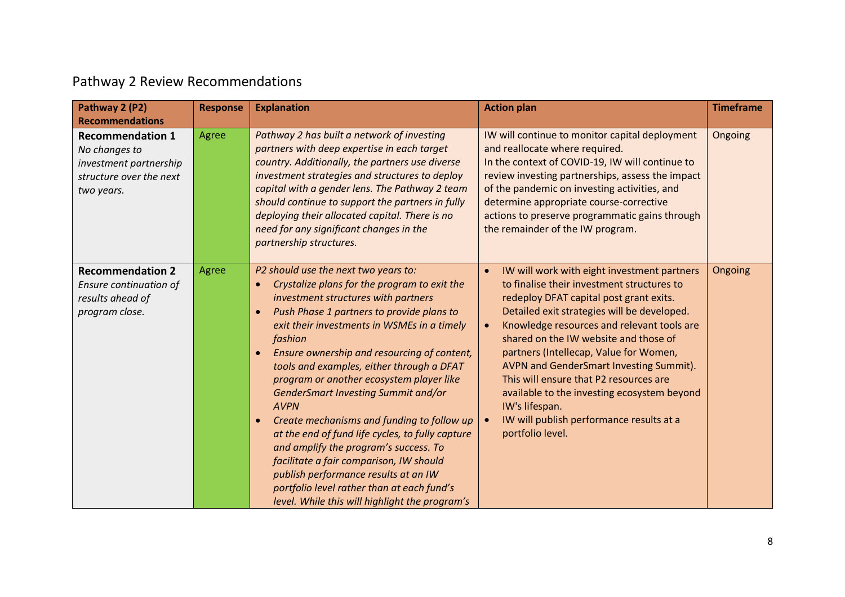## Pathway 2 Review Recommendations

| Pathway 2 (P2)<br><b>Recommendations</b>                                                                    | <b>Response</b> | <b>Explanation</b>                                                                                                                                                                                                                                                                                                                                                                                                                                                                                                                                                                                                                                                                                                                                                                                    | <b>Action plan</b>                                                                                                                                                                                                                                                                                                                                                                                                                                                                                                                                                   | <b>Timeframe</b> |
|-------------------------------------------------------------------------------------------------------------|-----------------|-------------------------------------------------------------------------------------------------------------------------------------------------------------------------------------------------------------------------------------------------------------------------------------------------------------------------------------------------------------------------------------------------------------------------------------------------------------------------------------------------------------------------------------------------------------------------------------------------------------------------------------------------------------------------------------------------------------------------------------------------------------------------------------------------------|----------------------------------------------------------------------------------------------------------------------------------------------------------------------------------------------------------------------------------------------------------------------------------------------------------------------------------------------------------------------------------------------------------------------------------------------------------------------------------------------------------------------------------------------------------------------|------------------|
| <b>Recommendation 1</b><br>No changes to<br>investment partnership<br>structure over the next<br>two years. | Agree           | Pathway 2 has built a network of investing<br>partners with deep expertise in each target<br>country. Additionally, the partners use diverse<br>investment strategies and structures to deploy<br>capital with a gender lens. The Pathway 2 team<br>should continue to support the partners in fully<br>deploying their allocated capital. There is no<br>need for any significant changes in the<br>partnership structures.                                                                                                                                                                                                                                                                                                                                                                          | IW will continue to monitor capital deployment<br>and reallocate where required.<br>In the context of COVID-19, IW will continue to<br>review investing partnerships, assess the impact<br>of the pandemic on investing activities, and<br>determine appropriate course-corrective<br>actions to preserve programmatic gains through<br>the remainder of the IW program.                                                                                                                                                                                             | Ongoing          |
| <b>Recommendation 2</b><br>Ensure continuation of<br>results ahead of<br>program close.                     | Agree           | P2 should use the next two years to:<br>Crystalize plans for the program to exit the<br>investment structures with partners<br>Push Phase 1 partners to provide plans to<br>$\bullet$<br>exit their investments in WSMEs in a timely<br>fashion<br>Ensure ownership and resourcing of content,<br>$\bullet$<br>tools and examples, either through a DFAT<br>program or another ecosystem player like<br>GenderSmart Investing Summit and/or<br><b>AVPN</b><br>Create mechanisms and funding to follow up<br>$\bullet$<br>at the end of fund life cycles, to fully capture<br>and amplify the program's success. To<br>facilitate a fair comparison, IW should<br>publish performance results at an IW<br>portfolio level rather than at each fund's<br>level. While this will highlight the program's | IW will work with eight investment partners<br>$\bullet$<br>to finalise their investment structures to<br>redeploy DFAT capital post grant exits.<br>Detailed exit strategies will be developed.<br>Knowledge resources and relevant tools are<br>$\bullet$<br>shared on the IW website and those of<br>partners (Intellecap, Value for Women,<br>AVPN and GenderSmart Investing Summit).<br>This will ensure that P2 resources are<br>available to the investing ecosystem beyond<br>IW's lifespan.<br>IW will publish performance results at a<br>portfolio level. | Ongoing          |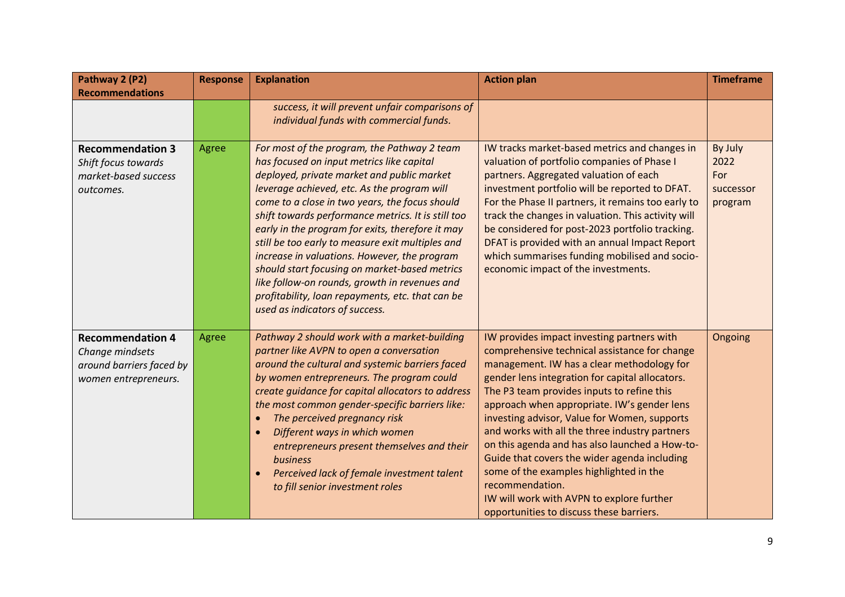| Pathway 2 (P2)                                                                                 | <b>Response</b> | <b>Explanation</b>                                                                                                                                                                                                                                                                                                                                                                                                                                                                                                                                                                                                                            | <b>Action plan</b>                                                                                                                                                                                                                                                                                                                                                                                                                                                                                                                                                                                                                                   | <b>Timeframe</b>                               |
|------------------------------------------------------------------------------------------------|-----------------|-----------------------------------------------------------------------------------------------------------------------------------------------------------------------------------------------------------------------------------------------------------------------------------------------------------------------------------------------------------------------------------------------------------------------------------------------------------------------------------------------------------------------------------------------------------------------------------------------------------------------------------------------|------------------------------------------------------------------------------------------------------------------------------------------------------------------------------------------------------------------------------------------------------------------------------------------------------------------------------------------------------------------------------------------------------------------------------------------------------------------------------------------------------------------------------------------------------------------------------------------------------------------------------------------------------|------------------------------------------------|
| <b>Recommendations</b>                                                                         |                 |                                                                                                                                                                                                                                                                                                                                                                                                                                                                                                                                                                                                                                               |                                                                                                                                                                                                                                                                                                                                                                                                                                                                                                                                                                                                                                                      |                                                |
|                                                                                                |                 | success, it will prevent unfair comparisons of                                                                                                                                                                                                                                                                                                                                                                                                                                                                                                                                                                                                |                                                                                                                                                                                                                                                                                                                                                                                                                                                                                                                                                                                                                                                      |                                                |
|                                                                                                |                 | individual funds with commercial funds.                                                                                                                                                                                                                                                                                                                                                                                                                                                                                                                                                                                                       |                                                                                                                                                                                                                                                                                                                                                                                                                                                                                                                                                                                                                                                      |                                                |
| <b>Recommendation 3</b><br>Shift focus towards<br>market-based success<br>outcomes.            | Agree           | For most of the program, the Pathway 2 team<br>has focused on input metrics like capital<br>deployed, private market and public market<br>leverage achieved, etc. As the program will<br>come to a close in two years, the focus should<br>shift towards performance metrics. It is still too<br>early in the program for exits, therefore it may<br>still be too early to measure exit multiples and<br>increase in valuations. However, the program<br>should start focusing on market-based metrics<br>like follow-on rounds, growth in revenues and<br>profitability, loan repayments, etc. that can be<br>used as indicators of success. | IW tracks market-based metrics and changes in<br>valuation of portfolio companies of Phase I<br>partners. Aggregated valuation of each<br>investment portfolio will be reported to DFAT.<br>For the Phase II partners, it remains too early to<br>track the changes in valuation. This activity will<br>be considered for post-2023 portfolio tracking.<br>DFAT is provided with an annual Impact Report<br>which summarises funding mobilised and socio-<br>economic impact of the investments.                                                                                                                                                     | By July<br>2022<br>For<br>successor<br>program |
| <b>Recommendation 4</b><br>Change mindsets<br>around barriers faced by<br>women entrepreneurs. | Agree           | Pathway 2 should work with a market-building<br>partner like AVPN to open a conversation<br>around the cultural and systemic barriers faced<br>by women entrepreneurs. The program could<br>create guidance for capital allocators to address<br>the most common gender-specific barriers like:<br>The perceived pregnancy risk<br>Different ways in which women<br>$\bullet$<br>entrepreneurs present themselves and their<br>business<br>Perceived lack of female investment talent<br>to fill senior investment roles                                                                                                                      | IW provides impact investing partners with<br>comprehensive technical assistance for change<br>management. IW has a clear methodology for<br>gender lens integration for capital allocators.<br>The P3 team provides inputs to refine this<br>approach when appropriate. IW's gender lens<br>investing advisor, Value for Women, supports<br>and works with all the three industry partners<br>on this agenda and has also launched a How-to-<br>Guide that covers the wider agenda including<br>some of the examples highlighted in the<br>recommendation.<br>IW will work with AVPN to explore further<br>opportunities to discuss these barriers. | Ongoing                                        |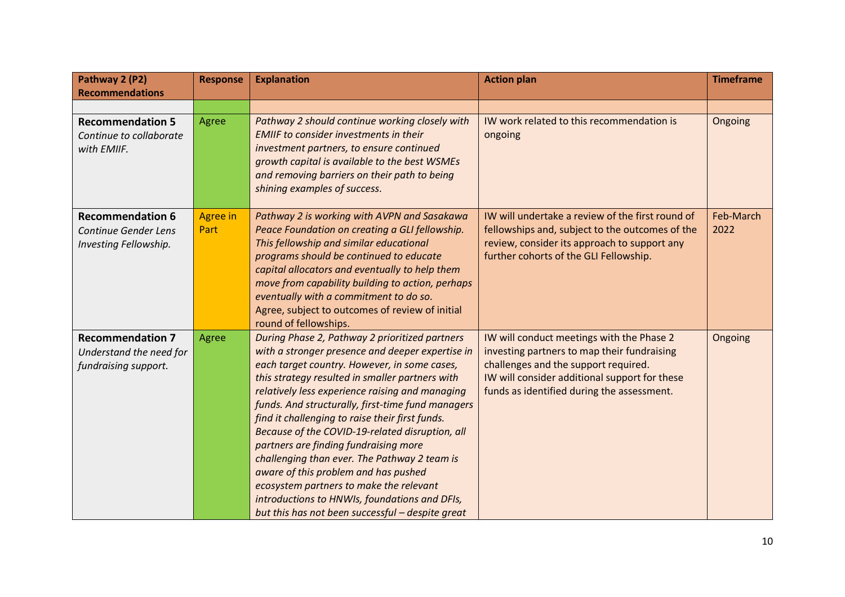| Pathway 2 (P2)<br><b>Recommendations</b>                                   | <b>Response</b>         | <b>Explanation</b>                                                                                                                                                                                                                                                                                                                                                                                                                                                                                                                                                                                                                                                                                   | <b>Action plan</b>                                                                                                                                                                                                              | <b>Timeframe</b>  |
|----------------------------------------------------------------------------|-------------------------|------------------------------------------------------------------------------------------------------------------------------------------------------------------------------------------------------------------------------------------------------------------------------------------------------------------------------------------------------------------------------------------------------------------------------------------------------------------------------------------------------------------------------------------------------------------------------------------------------------------------------------------------------------------------------------------------------|---------------------------------------------------------------------------------------------------------------------------------------------------------------------------------------------------------------------------------|-------------------|
|                                                                            |                         |                                                                                                                                                                                                                                                                                                                                                                                                                                                                                                                                                                                                                                                                                                      |                                                                                                                                                                                                                                 |                   |
| <b>Recommendation 5</b><br>Continue to collaborate<br>with EMIIF.          | Agree                   | Pathway 2 should continue working closely with<br><b>EMIIF to consider investments in their</b><br>investment partners, to ensure continued<br>growth capital is available to the best WSMEs<br>and removing barriers on their path to being<br>shining examples of success.                                                                                                                                                                                                                                                                                                                                                                                                                         | IW work related to this recommendation is<br>ongoing                                                                                                                                                                            | Ongoing           |
| <b>Recommendation 6</b><br>Continue Gender Lens<br>Investing Fellowship.   | <b>Agree in</b><br>Part | Pathway 2 is working with AVPN and Sasakawa<br>Peace Foundation on creating a GLI fellowship.<br>This fellowship and similar educational<br>programs should be continued to educate<br>capital allocators and eventually to help them<br>move from capability building to action, perhaps<br>eventually with a commitment to do so.<br>Agree, subject to outcomes of review of initial<br>round of fellowships.                                                                                                                                                                                                                                                                                      | IW will undertake a review of the first round of<br>fellowships and, subject to the outcomes of the<br>review, consider its approach to support any<br>further cohorts of the GLI Fellowship.                                   | Feb-March<br>2022 |
| <b>Recommendation 7</b><br>Understand the need for<br>fundraising support. | <b>Agree</b>            | During Phase 2, Pathway 2 prioritized partners<br>with a stronger presence and deeper expertise in<br>each target country. However, in some cases,<br>this strategy resulted in smaller partners with<br>relatively less experience raising and managing<br>funds. And structurally, first-time fund managers<br>find it challenging to raise their first funds.<br>Because of the COVID-19-related disruption, all<br>partners are finding fundraising more<br>challenging than ever. The Pathway 2 team is<br>aware of this problem and has pushed<br>ecosystem partners to make the relevant<br>introductions to HNWIs, foundations and DFIs,<br>but this has not been successful - despite great | IW will conduct meetings with the Phase 2<br>investing partners to map their fundraising<br>challenges and the support required.<br>IW will consider additional support for these<br>funds as identified during the assessment. | Ongoing           |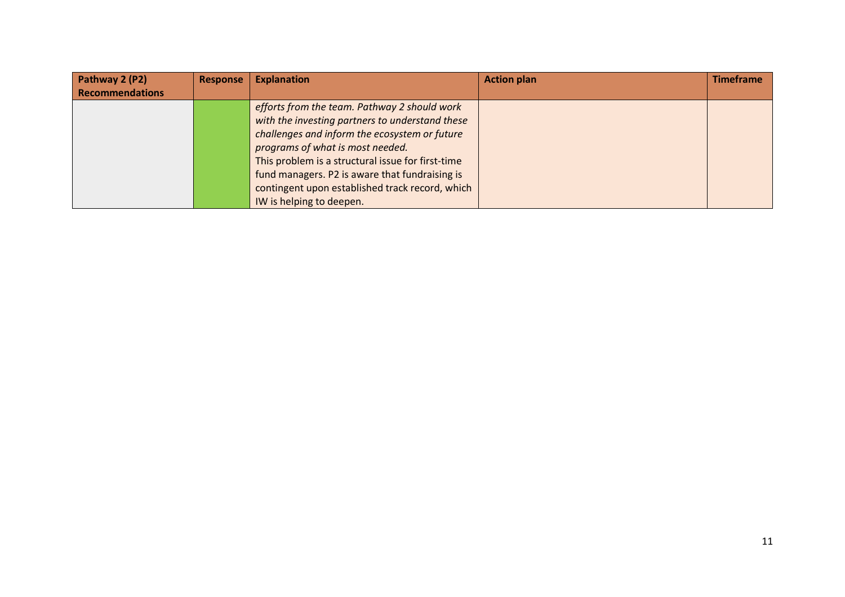| Pathway 2 (P2)         | <b>Response</b> | <b>Explanation</b>                                | <b>Action plan</b> | <b>Timeframe</b> |
|------------------------|-----------------|---------------------------------------------------|--------------------|------------------|
| <b>Recommendations</b> |                 |                                                   |                    |                  |
|                        |                 | efforts from the team. Pathway 2 should work      |                    |                  |
|                        |                 | with the investing partners to understand these   |                    |                  |
|                        |                 | challenges and inform the ecosystem or future     |                    |                  |
|                        |                 | programs of what is most needed.                  |                    |                  |
|                        |                 | This problem is a structural issue for first-time |                    |                  |
|                        |                 | fund managers. P2 is aware that fundraising is    |                    |                  |
|                        |                 | contingent upon established track record, which   |                    |                  |
|                        |                 | IW is helping to deepen.                          |                    |                  |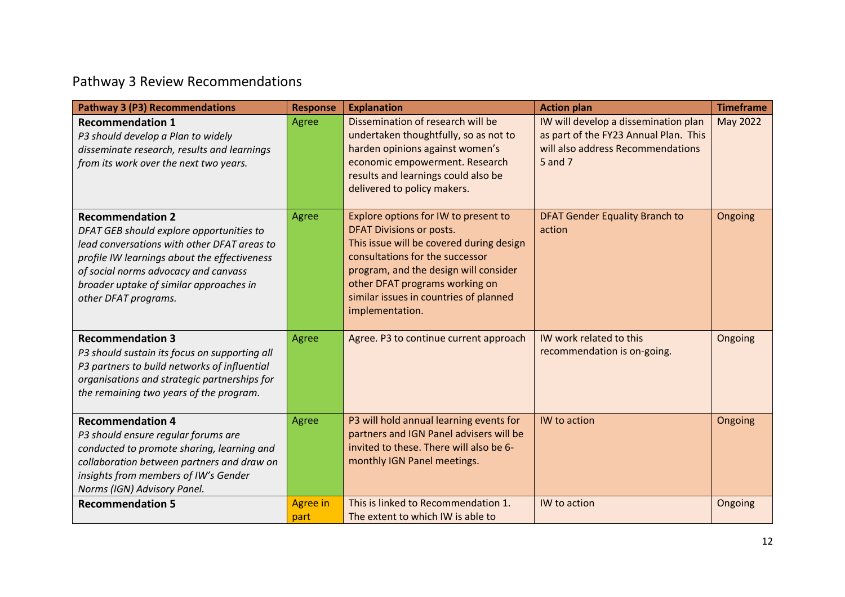# Pathway 3 Review Recommendations

| <b>Pathway 3 (P3) Recommendations</b>                                                                                                                                                                                                                                         | <b>Response</b>         | <b>Explanation</b>                                                                                                                                                                                                                                                                             | <b>Action plan</b>                                                                                                            | <b>Timeframe</b> |
|-------------------------------------------------------------------------------------------------------------------------------------------------------------------------------------------------------------------------------------------------------------------------------|-------------------------|------------------------------------------------------------------------------------------------------------------------------------------------------------------------------------------------------------------------------------------------------------------------------------------------|-------------------------------------------------------------------------------------------------------------------------------|------------------|
| <b>Recommendation 1</b><br>P3 should develop a Plan to widely<br>disseminate research, results and learnings<br>from its work over the next two years.                                                                                                                        | Agree                   | Dissemination of research will be<br>undertaken thoughtfully, so as not to<br>harden opinions against women's<br>economic empowerment. Research<br>results and learnings could also be<br>delivered to policy makers.                                                                          | IW will develop a dissemination plan<br>as part of the FY23 Annual Plan. This<br>will also address Recommendations<br>5 and 7 | May 2022         |
| <b>Recommendation 2</b><br>DFAT GEB should explore opportunities to<br>lead conversations with other DFAT areas to<br>profile IW learnings about the effectiveness<br>of social norms advocacy and canvass<br>broader uptake of similar approaches in<br>other DFAT programs. | Agree                   | Explore options for IW to present to<br><b>DFAT Divisions or posts.</b><br>This issue will be covered during design<br>consultations for the successor<br>program, and the design will consider<br>other DFAT programs working on<br>similar issues in countries of planned<br>implementation. | <b>DFAT Gender Equality Branch to</b><br>action                                                                               | Ongoing          |
| <b>Recommendation 3</b><br>P3 should sustain its focus on supporting all<br>P3 partners to build networks of influential<br>organisations and strategic partnerships for<br>the remaining two years of the program.                                                           | Agree                   | Agree. P3 to continue current approach                                                                                                                                                                                                                                                         | IW work related to this<br>recommendation is on-going.                                                                        | Ongoing          |
| <b>Recommendation 4</b><br>P3 should ensure regular forums are<br>conducted to promote sharing, learning and<br>collaboration between partners and draw on<br>insights from members of IW's Gender<br>Norms (IGN) Advisory Panel.                                             | Agree                   | P3 will hold annual learning events for<br>partners and IGN Panel advisers will be<br>invited to these. There will also be 6-<br>monthly IGN Panel meetings.                                                                                                                                   | IW to action                                                                                                                  | Ongoing          |
| <b>Recommendation 5</b>                                                                                                                                                                                                                                                       | <b>Agree in</b><br>part | This is linked to Recommendation 1.<br>The extent to which IW is able to                                                                                                                                                                                                                       | IW to action                                                                                                                  | Ongoing          |